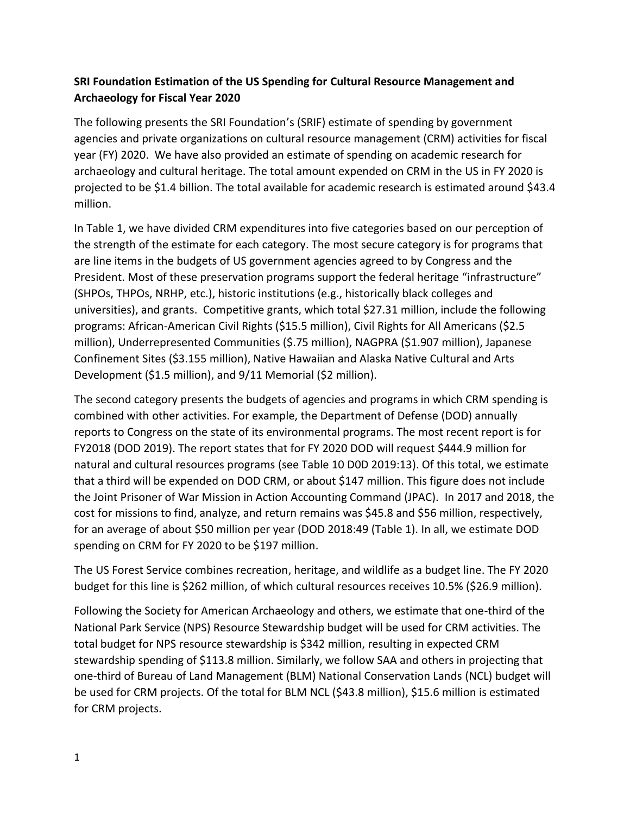# **SRI Foundation Estimation of the US Spending for Cultural Resource Management and Archaeology for Fiscal Year 2020**

The following presents the SRI Foundation's (SRIF) estimate of spending by government agencies and private organizations on cultural resource management (CRM) activities for fiscal year (FY) 2020. We have also provided an estimate of spending on academic research for archaeology and cultural heritage. The total amount expended on CRM in the US in FY 2020 is projected to be \$1.4 billion. The total available for academic research is estimated around \$43.4 million.

In Table 1, we have divided CRM expenditures into five categories based on our perception of the strength of the estimate for each category. The most secure category is for programs that are line items in the budgets of US government agencies agreed to by Congress and the President. Most of these preservation programs support the federal heritage "infrastructure" (SHPOs, THPOs, NRHP, etc.), historic institutions (e.g., historically black colleges and universities), and grants. Competitive grants, which total \$27.31 million, include the following programs: African-American Civil Rights (\$15.5 million), Civil Rights for All Americans (\$2.5 million), Underrepresented Communities (\$.75 million), NAGPRA (\$1.907 million), Japanese Confinement Sites (\$3.155 million), Native Hawaiian and Alaska Native Cultural and Arts Development (\$1.5 million), and 9/11 Memorial (\$2 million).

The second category presents the budgets of agencies and programs in which CRM spending is combined with other activities. For example, the Department of Defense (DOD) annually reports to Congress on the state of its environmental programs. The most recent report is for FY2018 (DOD 2019). The report states that for FY 2020 DOD will request \$444.9 million for natural and cultural resources programs (see Table 10 D0D 2019:13). Of this total, we estimate that a third will be expended on DOD CRM, or about \$147 million. This figure does not include the Joint Prisoner of War Mission in Action Accounting Command (JPAC). In 2017 and 2018, the cost for missions to find, analyze, and return remains was \$45.8 and \$56 million, respectively, for an average of about \$50 million per year (DOD 2018:49 (Table 1). In all, we estimate DOD spending on CRM for FY 2020 to be \$197 million.

The US Forest Service combines recreation, heritage, and wildlife as a budget line. The FY 2020 budget for this line is \$262 million, of which cultural resources receives 10.5% (\$26.9 million).

Following the Society for American Archaeology and others, we estimate that one-third of the National Park Service (NPS) Resource Stewardship budget will be used for CRM activities. The total budget for NPS resource stewardship is \$342 million, resulting in expected CRM stewardship spending of \$113.8 million. Similarly, we follow SAA and others in projecting that one-third of Bureau of Land Management (BLM) National Conservation Lands (NCL) budget will be used for CRM projects. Of the total for BLM NCL (\$43.8 million), \$15.6 million is estimated for CRM projects.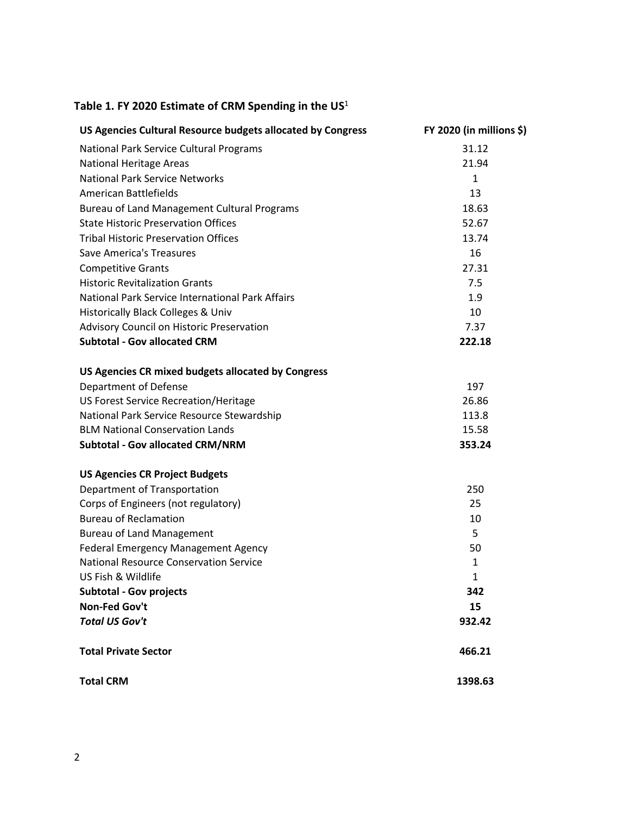### **Table 1. FY 2020 Estimate of CRM Spending in the US** 1

| US Agencies Cultural Resource budgets allocated by Congress | FY 2020 (in millions \$) |
|-------------------------------------------------------------|--------------------------|
| National Park Service Cultural Programs                     | 31.12                    |
| <b>National Heritage Areas</b>                              | 21.94                    |
| <b>National Park Service Networks</b>                       | $\mathbf{1}$             |
| American Battlefields                                       | 13                       |
| Bureau of Land Management Cultural Programs                 | 18.63                    |
| <b>State Historic Preservation Offices</b>                  | 52.67                    |
| <b>Tribal Historic Preservation Offices</b>                 | 13.74                    |
| Save America's Treasures                                    | 16                       |
| <b>Competitive Grants</b>                                   | 27.31                    |
| <b>Historic Revitalization Grants</b>                       | 7.5                      |
| National Park Service International Park Affairs            | 1.9                      |
| <b>Historically Black Colleges &amp; Univ</b>               | 10                       |
| Advisory Council on Historic Preservation                   | 7.37                     |
| <b>Subtotal - Gov allocated CRM</b>                         | 222.18                   |
| US Agencies CR mixed budgets allocated by Congress          |                          |
| <b>Department of Defense</b>                                | 197                      |
| US Forest Service Recreation/Heritage                       | 26.86                    |
| National Park Service Resource Stewardship                  | 113.8                    |
| <b>BLM National Conservation Lands</b>                      | 15.58                    |
| <b>Subtotal - Gov allocated CRM/NRM</b>                     | 353.24                   |
| <b>US Agencies CR Project Budgets</b>                       |                          |
| Department of Transportation                                | 250                      |
| Corps of Engineers (not regulatory)                         | 25                       |
| <b>Bureau of Reclamation</b>                                | 10                       |
| <b>Bureau of Land Management</b>                            | 5                        |
| <b>Federal Emergency Management Agency</b>                  | 50                       |
| <b>National Resource Conservation Service</b>               | 1                        |
| US Fish & Wildlife                                          | $\mathbf{1}$             |
| <b>Subtotal - Gov projects</b>                              | 342                      |
| Non-Fed Gov't                                               | 15                       |
| <b>Total US Gov't</b>                                       | 932.42                   |
| <b>Total Private Sector</b>                                 | 466.21                   |
| <b>Total CRM</b>                                            | 1398.63                  |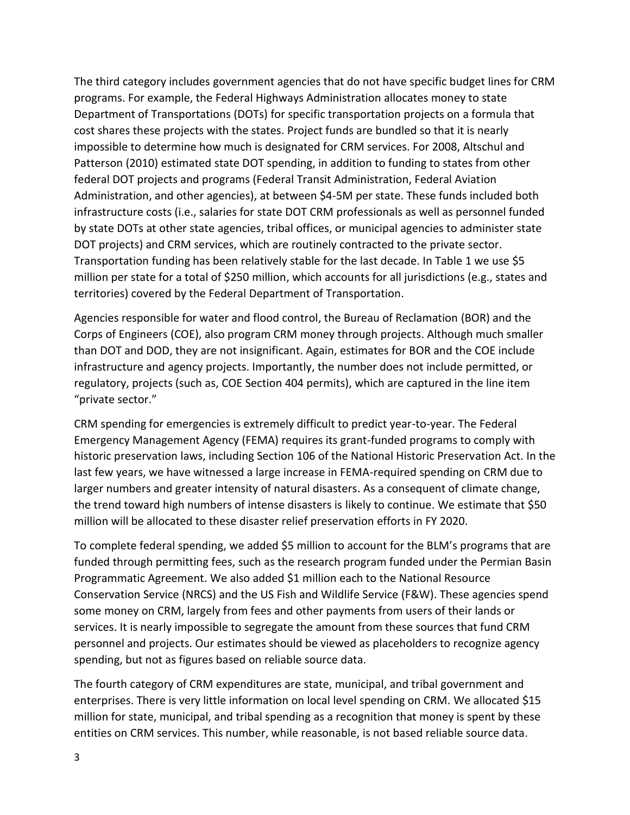The third category includes government agencies that do not have specific budget lines for CRM programs. For example, the Federal Highways Administration allocates money to state Department of Transportations (DOTs) for specific transportation projects on a formula that cost shares these projects with the states. Project funds are bundled so that it is nearly impossible to determine how much is designated for CRM services. For 2008, Altschul and Patterson (2010) estimated state DOT spending, in addition to funding to states from other federal DOT projects and programs (Federal Transit Administration, Federal Aviation Administration, and other agencies), at between \$4-5M per state. These funds included both infrastructure costs (i.e., salaries for state DOT CRM professionals as well as personnel funded by state DOTs at other state agencies, tribal offices, or municipal agencies to administer state DOT projects) and CRM services, which are routinely contracted to the private sector. Transportation funding has been relatively stable for the last decade. In Table 1 we use \$5 million per state for a total of \$250 million, which accounts for all jurisdictions (e.g., states and territories) covered by the Federal Department of Transportation.

Agencies responsible for water and flood control, the Bureau of Reclamation (BOR) and the Corps of Engineers (COE), also program CRM money through projects. Although much smaller than DOT and DOD, they are not insignificant. Again, estimates for BOR and the COE include infrastructure and agency projects. Importantly, the number does not include permitted, or regulatory, projects (such as, COE Section 404 permits), which are captured in the line item "private sector."

CRM spending for emergencies is extremely difficult to predict year-to-year. The Federal Emergency Management Agency (FEMA) requires its grant-funded programs to comply with historic preservation laws, including Section 106 of the National Historic Preservation Act. In the last few years, we have witnessed a large increase in FEMA-required spending on CRM due to larger numbers and greater intensity of natural disasters. As a consequent of climate change, the trend toward high numbers of intense disasters is likely to continue. We estimate that \$50 million will be allocated to these disaster relief preservation efforts in FY 2020.

To complete federal spending, we added \$5 million to account for the BLM's programs that are funded through permitting fees, such as the research program funded under the Permian Basin Programmatic Agreement. We also added \$1 million each to the National Resource Conservation Service (NRCS) and the US Fish and Wildlife Service (F&W). These agencies spend some money on CRM, largely from fees and other payments from users of their lands or services. It is nearly impossible to segregate the amount from these sources that fund CRM personnel and projects. Our estimates should be viewed as placeholders to recognize agency spending, but not as figures based on reliable source data.

The fourth category of CRM expenditures are state, municipal, and tribal government and enterprises. There is very little information on local level spending on CRM. We allocated \$15 million for state, municipal, and tribal spending as a recognition that money is spent by these entities on CRM services. This number, while reasonable, is not based reliable source data.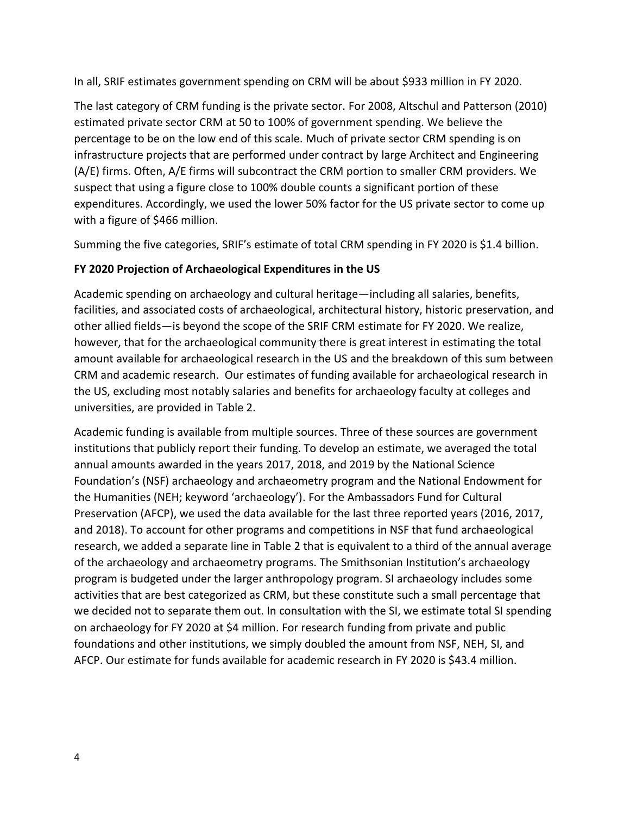In all, SRIF estimates government spending on CRM will be about \$933 million in FY 2020.

The last category of CRM funding is the private sector. For 2008, Altschul and Patterson (2010) estimated private sector CRM at 50 to 100% of government spending. We believe the percentage to be on the low end of this scale. Much of private sector CRM spending is on infrastructure projects that are performed under contract by large Architect and Engineering (A/E) firms. Often, A/E firms will subcontract the CRM portion to smaller CRM providers. We suspect that using a figure close to 100% double counts a significant portion of these expenditures. Accordingly, we used the lower 50% factor for the US private sector to come up with a figure of \$466 million.

Summing the five categories, SRIF's estimate of total CRM spending in FY 2020 is \$1.4 billion.

## **FY 2020 Projection of Archaeological Expenditures in the US**

Academic spending on archaeology and cultural heritage—including all salaries, benefits, facilities, and associated costs of archaeological, architectural history, historic preservation, and other allied fields—is beyond the scope of the SRIF CRM estimate for FY 2020. We realize, however, that for the archaeological community there is great interest in estimating the total amount available for archaeological research in the US and the breakdown of this sum between CRM and academic research. Our estimates of funding available for archaeological research in the US, excluding most notably salaries and benefits for archaeology faculty at colleges and universities, are provided in Table 2.

Academic funding is available from multiple sources. Three of these sources are government institutions that publicly report their funding. To develop an estimate, we averaged the total annual amounts awarded in the years 2017, 2018, and 2019 by the National Science Foundation's (NSF) archaeology and archaeometry program and the National Endowment for the Humanities (NEH; keyword 'archaeology'). For the Ambassadors Fund for Cultural Preservation (AFCP), we used the data available for the last three reported years (2016, 2017, and 2018). To account for other programs and competitions in NSF that fund archaeological research, we added a separate line in Table 2 that is equivalent to a third of the annual average of the archaeology and archaeometry programs. The Smithsonian Institution's archaeology program is budgeted under the larger anthropology program. SI archaeology includes some activities that are best categorized as CRM, but these constitute such a small percentage that we decided not to separate them out. In consultation with the SI, we estimate total SI spending on archaeology for FY 2020 at \$4 million. For research funding from private and public foundations and other institutions, we simply doubled the amount from NSF, NEH, SI, and AFCP. Our estimate for funds available for academic research in FY 2020 is \$43.4 million.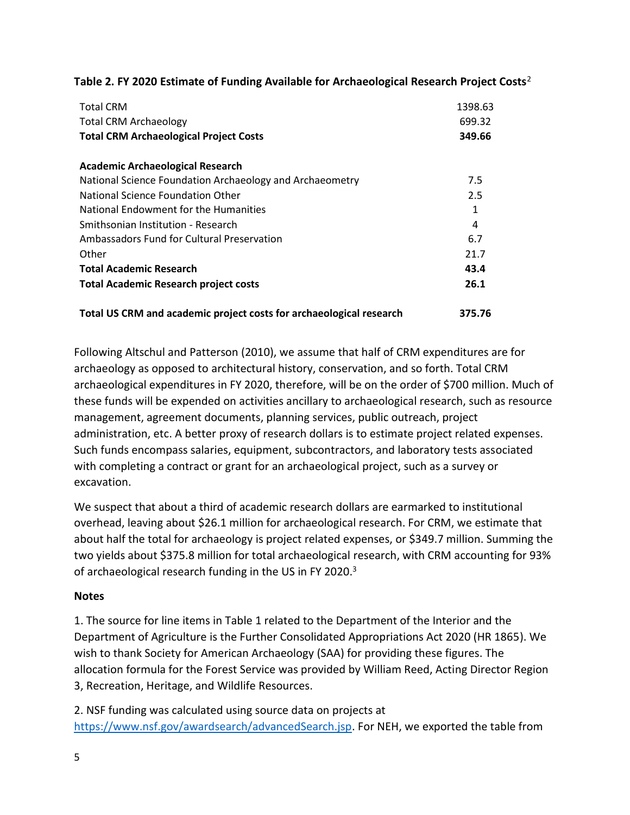| <b>Total CRM</b><br><b>Total CRM Archaeology</b><br><b>Total CRM Archaeological Project Costs</b> | 1398.63<br>699.32<br>349.66 |
|---------------------------------------------------------------------------------------------------|-----------------------------|
| <b>Academic Archaeological Research</b>                                                           |                             |
| National Science Foundation Archaeology and Archaeometry                                          | 7.5                         |
| National Science Foundation Other                                                                 | 2.5                         |
| National Endowment for the Humanities                                                             | 1                           |
| Smithsonian Institution - Research                                                                | 4                           |
| Ambassadors Fund for Cultural Preservation                                                        | 6.7                         |
| Other                                                                                             | 21.7                        |
| <b>Total Academic Research</b>                                                                    | 43.4                        |
| <b>Total Academic Research project costs</b>                                                      | 26.1                        |
| Total US CRM and academic project costs for archaeological research                               | 375.76                      |

#### **Table 2. FY 2020 Estimate of Funding Available for Archaeological Research Project Costs**<sup>2</sup>

Following Altschul and Patterson (2010), we assume that half of CRM expenditures are for archaeology as opposed to architectural history, conservation, and so forth. Total CRM archaeological expenditures in FY 2020, therefore, will be on the order of \$700 million. Much of these funds will be expended on activities ancillary to archaeological research, such as resource management, agreement documents, planning services, public outreach, project administration, etc. A better proxy of research dollars is to estimate project related expenses. Such funds encompass salaries, equipment, subcontractors, and laboratory tests associated with completing a contract or grant for an archaeological project, such as a survey or excavation.

We suspect that about a third of academic research dollars are earmarked to institutional overhead, leaving about \$26.1 million for archaeological research. For CRM, we estimate that about half the total for archaeology is project related expenses, or \$349.7 million. Summing the two yields about \$375.8 million for total archaeological research, with CRM accounting for 93% of archaeological research funding in the US in FY 2020.<sup>3</sup>

### **Notes**

1. The source for line items in Table 1 related to the Department of the Interior and the Department of Agriculture is the Further Consolidated Appropriations Act 2020 (HR 1865). We wish to thank Society for American Archaeology (SAA) for providing these figures. The allocation formula for the Forest Service was provided by William Reed, Acting Director Region 3, Recreation, Heritage, and Wildlife Resources.

2. NSF funding was calculated using source data on projects at [https://www.nsf.gov/awardsearch/advancedSearch.jsp.](https://www.nsf.gov/awardsearch/advancedSearch.jsp) For NEH, we exported the table from